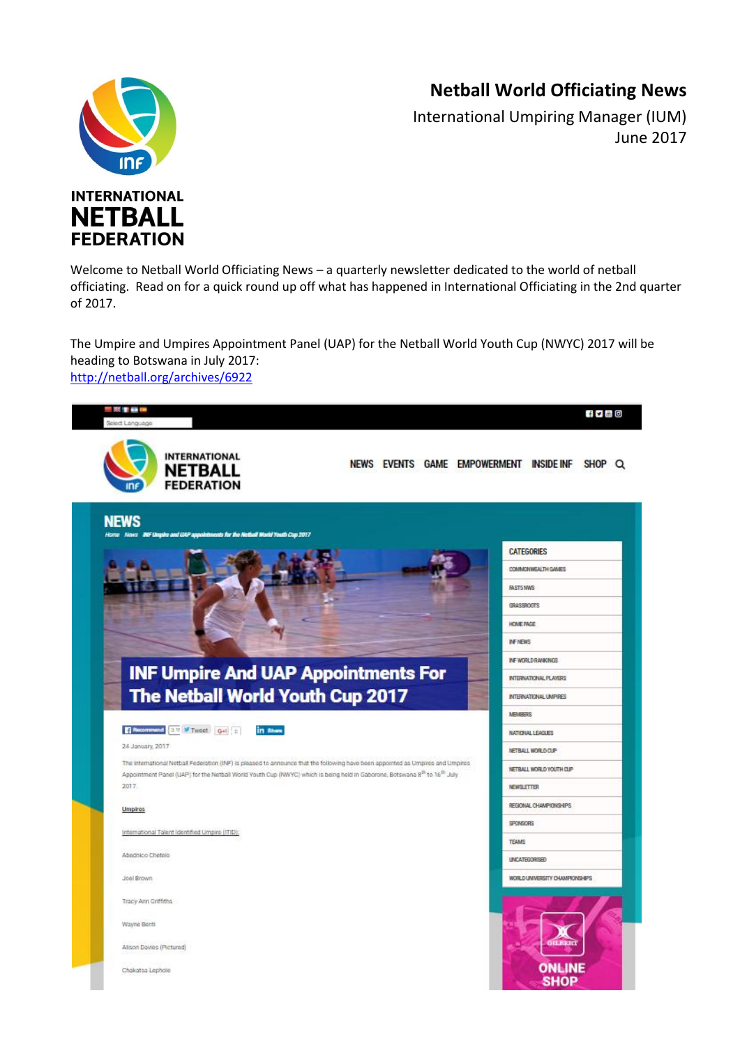## **Netball World Officiating News**



International Umpiring Manager (IUM) June 2017



Welcome to Netball World Officiating News – a quarterly newsletter dedicated to the world of netball officiating. Read on for a quick round up off what has happened in International Officiating in the 2nd quarter of 2017.

The Umpire and Umpires Appointment Panel (UAP) for the Netball World Youth Cup (NWYC) 2017 will be heading to Botswana in July 2017: <http://netball.org/archives/6922>

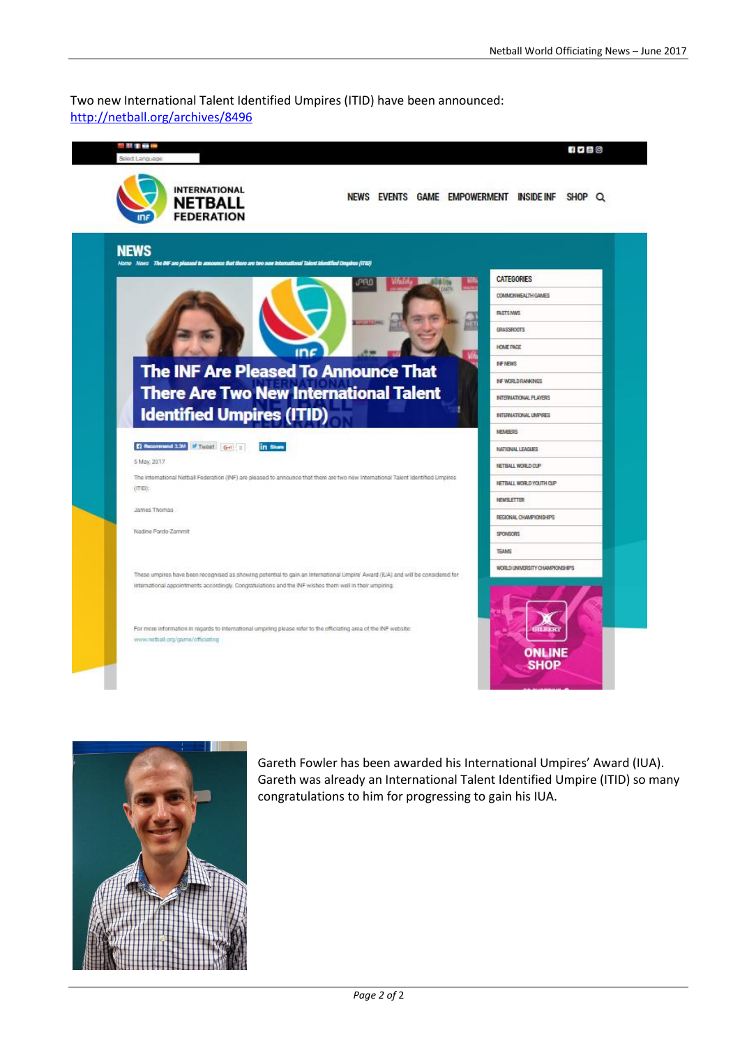## Two new International Talent Identified Umpires (ITID) have been announced: <http://netball.org/archives/8496>

| .                                                                                                                                            |                                         | $f \circ \Box$ o      |
|----------------------------------------------------------------------------------------------------------------------------------------------|-----------------------------------------|-----------------------|
| <b>INTERNATIONAL</b><br><b>NETBALL</b><br><b>FEDERATION</b>                                                                                  | NEWS EVENTS GAME EMPOWERMENT INSIDE INF | SHOP Q                |
| <b>NEWS</b><br>Home News The INF are pleased to announce that there are two new International Talent Identified Umpires (ITID)               |                                         |                       |
|                                                                                                                                              | <b>CATEGORIES</b><br><b>JPRO</b>        |                       |
|                                                                                                                                              |                                         | COMMONWEALTH GAMES    |
|                                                                                                                                              |                                         |                       |
|                                                                                                                                              |                                         |                       |
|                                                                                                                                              | HOME PAGE                               |                       |
| <b>The INF Are Pleased To Announce That</b>                                                                                                  | <b>INF NEWS</b>                         |                       |
|                                                                                                                                              | INF WORLD RANKINGS                      |                       |
| <b>There Are Two New International Talent</b><br>ŧ                                                                                           |                                         | INTERNATIONAL PLAYERS |
| <b>Identified Umpires (ITID)</b>                                                                                                             | INTERNATIONAL UMPIRES                   |                       |
|                                                                                                                                              | <b>MEMBERS</b>                          |                       |
| <b>El Necemmend 3.3M of Tweet</b> G+1 1<br>in these                                                                                          | NATIONAL LEAGUES                        |                       |
| 5 May, 2017                                                                                                                                  | NETBALL WORLD CUP                       |                       |
| The international Netball Federation (INF) are pleased to announce that them are two new International Talent Identified Limpires<br>(ITID): | NETBALL WORLD YOUTH CLIP                |                       |
| James Thomas                                                                                                                                 | <b>NEWSLETTER</b>                       |                       |
|                                                                                                                                              | REGIONAL CHAMPIONSHIPS                  |                       |
| Nadine Pardo-Zammit                                                                                                                          | SPONSORS                                |                       |
|                                                                                                                                              | <b>TEAMS</b>                            |                       |
| These umpires have been recognised as showing potential to gain an International Umpire' Award (EIA) and will be considered for              | WORLD UNIVERSITY CHAMPIONSHIPS          |                       |
| International appointments accordingly. Congratulations and the INF wishes them well in their umpiring.                                      |                                         |                       |
| For more information in regards to international umpiring please refer to the officiating area of the INF website:                           |                                         |                       |
| www.nethalt.org/game/officiating                                                                                                             | SHOP                                    | <b>ONLINE</b>         |



Gareth Fowler has been awarded his International Umpires' Award (IUA). Gareth was already an International Talent Identified Umpire (ITID) so many congratulations to him for progressing to gain his IUA.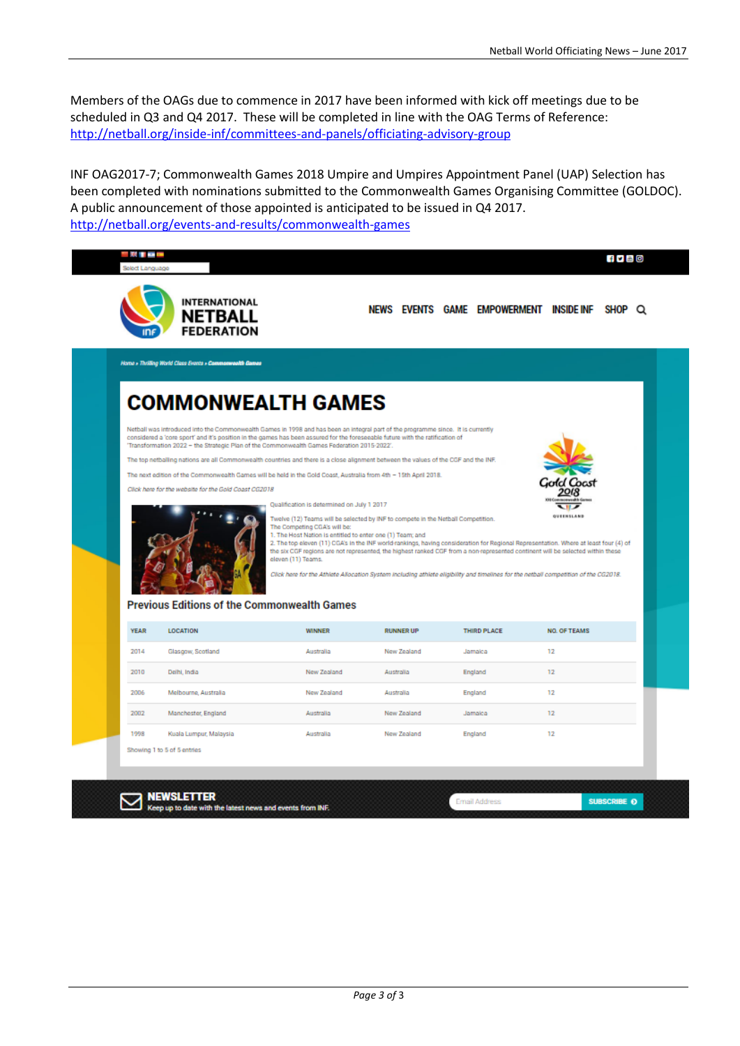Members of the OAGs due to commence in 2017 have been informed with kick off meetings due to be scheduled in Q3 and Q4 2017. These will be completed in line with the OAG Terms of Reference: <http://netball.org/inside-inf/committees-and-panels/officiating-advisory-group>

INF OAG2017-7; Commonwealth Games 2018 Umpire and Umpires Appointment Panel (UAP) Selection has been completed with nominations submitted to the Commonwealth Games Organising Committee (GOLDOC). A public announcement of those appointed is anticipated to be issued in Q4 2017. <http://netball.org/events-and-results/commonwealth-games>